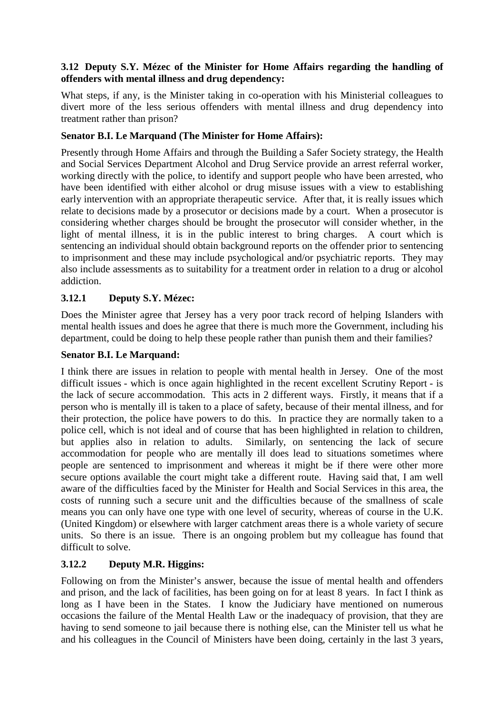### **3.12 Deputy S.Y. Mézec of the Minister for Home Affairs regarding the handling of offenders with mental illness and drug dependency:**

What steps, if any, is the Minister taking in co-operation with his Ministerial colleagues to divert more of the less serious offenders with mental illness and drug dependency into treatment rather than prison?

# **Senator B.I. Le Marquand (The Minister for Home Affairs):**

Presently through Home Affairs and through the Building a Safer Society strategy, the Health and Social Services Department Alcohol and Drug Service provide an arrest referral worker, working directly with the police, to identify and support people who have been arrested, who have been identified with either alcohol or drug misuse issues with a view to establishing early intervention with an appropriate therapeutic service. After that, it is really issues which relate to decisions made by a prosecutor or decisions made by a court. When a prosecutor is considering whether charges should be brought the prosecutor will consider whether, in the light of mental illness, it is in the public interest to bring charges. A court which is sentencing an individual should obtain background reports on the offender prior to sentencing to imprisonment and these may include psychological and/or psychiatric reports. They may also include assessments as to suitability for a treatment order in relation to a drug or alcohol addiction.

### **3.12.1 Deputy S.Y. Mézec:**

Does the Minister agree that Jersey has a very poor track record of helping Islanders with mental health issues and does he agree that there is much more the Government, including his department, could be doing to help these people rather than punish them and their families?

### **Senator B.I. Le Marquand:**

I think there are issues in relation to people with mental health in Jersey. One of the most difficult issues - which is once again highlighted in the recent excellent Scrutiny Report - is the lack of secure accommodation. This acts in 2 different ways. Firstly, it means that if a person who is mentally ill is taken to a place of safety, because of their mental illness, and for their protection, the police have powers to do this. In practice they are normally taken to a police cell, which is not ideal and of course that has been highlighted in relation to children, but applies also in relation to adults. Similarly, on sentencing the lack of secure accommodation for people who are mentally ill does lead to situations sometimes where people are sentenced to imprisonment and whereas it might be if there were other more secure options available the court might take a different route. Having said that, I am well aware of the difficulties faced by the Minister for Health and Social Services in this area, the costs of running such a secure unit and the difficulties because of the smallness of scale means you can only have one type with one level of security, whereas of course in the U.K. (United Kingdom) or elsewhere with larger catchment areas there is a whole variety of secure units. So there is an issue. There is an ongoing problem but my colleague has found that difficult to solve.

# **3.12.2 Deputy M.R. Higgins:**

Following on from the Minister's answer, because the issue of mental health and offenders and prison, and the lack of facilities, has been going on for at least 8 years. In fact I think as long as I have been in the States. I know the Judiciary have mentioned on numerous occasions the failure of the Mental Health Law or the inadequacy of provision, that they are having to send someone to jail because there is nothing else, can the Minister tell us what he and his colleagues in the Council of Ministers have been doing, certainly in the last 3 years,